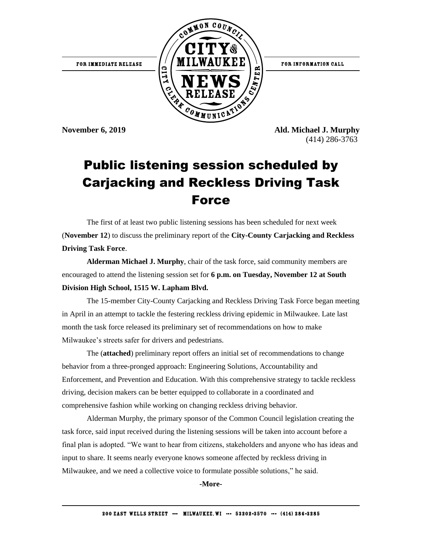

**November 6, 2019 Ald. Michael J. Murphy** (414) 286-3763

## Public listening session scheduled by Carjacking and Reckless Driving Task Force

The first of at least two public listening sessions has been scheduled for next week (**November 12**) to discuss the preliminary report of the **City-County Carjacking and Reckless Driving Task Force**.

**Alderman Michael J. Murphy**, chair of the task force, said community members are encouraged to attend the listening session set for **6 p.m. on Tuesday, November 12 at South Division High School, 1515 W. Lapham Blvd.**

The 15-member City-County Carjacking and Reckless Driving Task Force began meeting in April in an attempt to tackle the festering reckless driving epidemic in Milwaukee. Late last month the task force released its preliminary set of recommendations on how to make Milwaukee's streets safer for drivers and pedestrians.

The (**attached**) preliminary report offers an initial set of recommendations to change behavior from a three-pronged approach: Engineering Solutions, Accountability and Enforcement, and Prevention and Education. With this comprehensive strategy to tackle reckless driving, decision makers can be better equipped to collaborate in a coordinated and comprehensive fashion while working on changing reckless driving behavior.

Alderman Murphy, the primary sponsor of the Common Council legislation creating the task force, said input received during the listening sessions will be taken into account before a final plan is adopted. "We want to hear from citizens, stakeholders and anyone who has ideas and input to share. It seems nearly everyone knows someone affected by reckless driving in Milwaukee, and we need a collective voice to formulate possible solutions," he said.

**-More-**